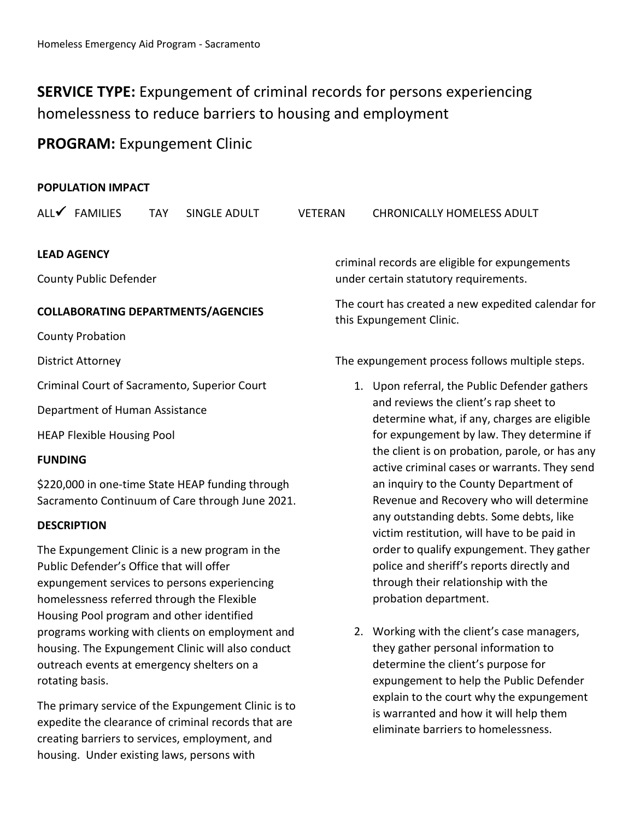# **SERVICE TYPE:** Expungement of criminal records for persons experiencing homelessness to reduce barriers to housing and employment

# **PROGRAM:** Expungement Clinic

outreach events at emergency shelters on a

The primary service of the Expungement Clinic is to expedite the clearance of criminal records that are creating barriers to services, employment, and housing. Under existing laws, persons with

rotating basis.

| <b>POPULATION IMPACT</b>                          |                         |            |                                           |                |                                                                                                                                                                                                                                                                                                                                                                                                                                                                                                                                                                               |                                               |  |
|---------------------------------------------------|-------------------------|------------|-------------------------------------------|----------------|-------------------------------------------------------------------------------------------------------------------------------------------------------------------------------------------------------------------------------------------------------------------------------------------------------------------------------------------------------------------------------------------------------------------------------------------------------------------------------------------------------------------------------------------------------------------------------|-----------------------------------------------|--|
|                                                   | ALL√ FAMILIES           | <b>TAY</b> | SINGLE ADULT                              | <b>VETERAN</b> |                                                                                                                                                                                                                                                                                                                                                                                                                                                                                                                                                                               | <b>CHRONICALLY HOMELESS ADULT</b>             |  |
| <b>LEAD AGENCY</b>                                |                         |            |                                           |                | criminal records are eligible for expungements                                                                                                                                                                                                                                                                                                                                                                                                                                                                                                                                |                                               |  |
| <b>County Public Defender</b>                     |                         |            |                                           |                | under certain statutory requirements.                                                                                                                                                                                                                                                                                                                                                                                                                                                                                                                                         |                                               |  |
| <b>COLLABORATING DEPARTMENTS/AGENCIES</b>         |                         |            |                                           |                | The court has created a new expedited calendar for<br>this Expungement Clinic.                                                                                                                                                                                                                                                                                                                                                                                                                                                                                                |                                               |  |
|                                                   | <b>County Probation</b> |            |                                           |                |                                                                                                                                                                                                                                                                                                                                                                                                                                                                                                                                                                               |                                               |  |
| <b>District Attorney</b>                          |                         |            |                                           |                | The expungement process follows multiple steps.                                                                                                                                                                                                                                                                                                                                                                                                                                                                                                                               |                                               |  |
| Criminal Court of Sacramento, Superior Court      |                         |            |                                           |                |                                                                                                                                                                                                                                                                                                                                                                                                                                                                                                                                                                               | 1. Upon referral, the Public Defender gathers |  |
| Department of Human Assistance                    |                         |            |                                           |                | and reviews the client's rap sheet to<br>determine what, if any, charges are eligible<br>for expungement by law. They determine if<br>the client is on probation, parole, or has any<br>active criminal cases or warrants. They send<br>an inquiry to the County Department of<br>Revenue and Recovery who will determine<br>any outstanding debts. Some debts, like<br>victim restitution, will have to be paid in<br>order to qualify expungement. They gather<br>police and sheriff's reports directly and<br>through their relationship with the<br>probation department. |                                               |  |
| <b>HEAP Flexible Housing Pool</b>                 |                         |            |                                           |                |                                                                                                                                                                                                                                                                                                                                                                                                                                                                                                                                                                               |                                               |  |
| <b>FUNDING</b>                                    |                         |            |                                           |                |                                                                                                                                                                                                                                                                                                                                                                                                                                                                                                                                                                               |                                               |  |
| \$220,000 in one-time State HEAP funding through  |                         |            |                                           |                |                                                                                                                                                                                                                                                                                                                                                                                                                                                                                                                                                                               |                                               |  |
| Sacramento Continuum of Care through June 2021.   |                         |            |                                           |                |                                                                                                                                                                                                                                                                                                                                                                                                                                                                                                                                                                               |                                               |  |
| <b>DESCRIPTION</b>                                |                         |            |                                           |                |                                                                                                                                                                                                                                                                                                                                                                                                                                                                                                                                                                               |                                               |  |
| The Expungement Clinic is a new program in the    |                         |            |                                           |                |                                                                                                                                                                                                                                                                                                                                                                                                                                                                                                                                                                               |                                               |  |
| Public Defender's Office that will offer          |                         |            |                                           |                |                                                                                                                                                                                                                                                                                                                                                                                                                                                                                                                                                                               |                                               |  |
| expungement services to persons experiencing      |                         |            |                                           |                |                                                                                                                                                                                                                                                                                                                                                                                                                                                                                                                                                                               |                                               |  |
| homelessness referred through the Flexible        |                         |            |                                           |                |                                                                                                                                                                                                                                                                                                                                                                                                                                                                                                                                                                               |                                               |  |
|                                                   |                         |            | Housing Pool program and other identified |                |                                                                                                                                                                                                                                                                                                                                                                                                                                                                                                                                                                               |                                               |  |
| programs working with clients on employment and   |                         |            |                                           |                |                                                                                                                                                                                                                                                                                                                                                                                                                                                                                                                                                                               | 2. Working with the client's case managers,   |  |
| housing. The Expungement Clinic will also conduct |                         |            |                                           |                |                                                                                                                                                                                                                                                                                                                                                                                                                                                                                                                                                                               | they gather personal information to           |  |

they gather personal information to determine the client's purpose for expungement to help the Public Defender explain to the court why the expungement is warranted and how it will help them eliminate barriers to homelessness.